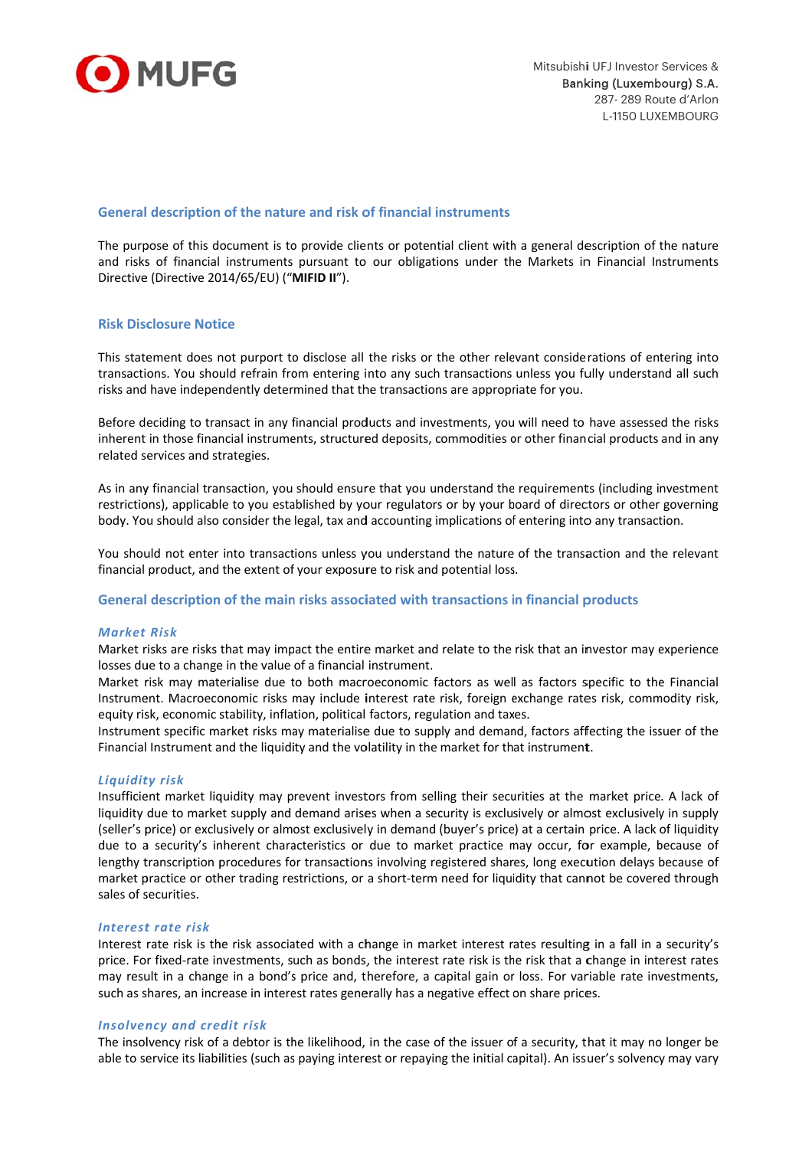

# General description of the nature and risk of financial instruments

The purpose of this document is to provide clients or potential client with a general description of the nature and risks of financial instruments pursuant to our obligations under the Markets in Financial Instruments Directive (Directive 2014/65/EU) ("MIFID II").

## **Risk Disclosure Notice**

This statement does not purport to disclose all the risks or the other relevant considerations of entering into transactions. You should refrain from entering into any such transactions unless you fully understand all such risks and have independently determined that the transactions are appropriate for you.

Before deciding to transact in any financial products and investments, you will need to have assessed the risks inherent in those financial instruments, structured deposits, commodities or other financial products and in any related services and strategies.

As in any financial transaction, you should ensure that you understand the requirements (including investment restrictions), applicable to you established by your regulators or by your board of directors or other governing body. You should also consider the legal, tax and accounting implications of entering into any transaction.

You should not enter into transactions unless you understand the nature of the transaction and the relevant financial product, and the extent of your exposure to risk and potential loss.

#### General description of the main risks associated with transactions in financial products

#### **Market Risk**

Market risks are risks that may impact the entire market and relate to the risk that an investor may experience losses due to a change in the value of a financial instrument.

Market risk may materialise due to both macroeconomic factors as well as factors specific to the Financial Instrument. Macroeconomic risks may include interest rate risk, foreign exchange rates risk, commodity risk, equity risk, economic stability, inflation, political factors, regulation and taxes.

Instrument specific market risks may materialise due to supply and demand, factors affecting the issuer of the Financial Instrument and the liquidity and the volatility in the market for that instrument.

#### **Liquidity risk**

Insufficient market liquidity may prevent investors from selling their securities at the market price. A lack of liquidity due to market supply and demand arises when a security is exclusively or almost exclusively in supply (seller's price) or exclusively or almost exclusively in demand (buyer's price) at a certain price. A lack of liquidity due to a security's inherent characteristics or due to market practice may occur, for example, because of lengthy transcription procedures for transactions involving registered shares, long execution delays because of market practice or other trading restrictions, or a short-term need for liquidity that cannot be covered through sales of securities.

#### Interest rate risk

Interest rate risk is the risk associated with a change in market interest rates resulting in a fall in a security's price. For fixed-rate investments, such as bonds, the interest rate risk is the risk that a change in interest rates may result in a change in a bond's price and, therefore, a capital gain or loss. For variable rate investments, such as shares, an increase in interest rates generally has a negative effect on share prices.

#### **Insolvency and credit risk**

The insolvency risk of a debtor is the likelihood, in the case of the issuer of a security, that it may no longer be able to service its liabilities (such as paying interest or repaying the initial capital). An issuer's solvency may vary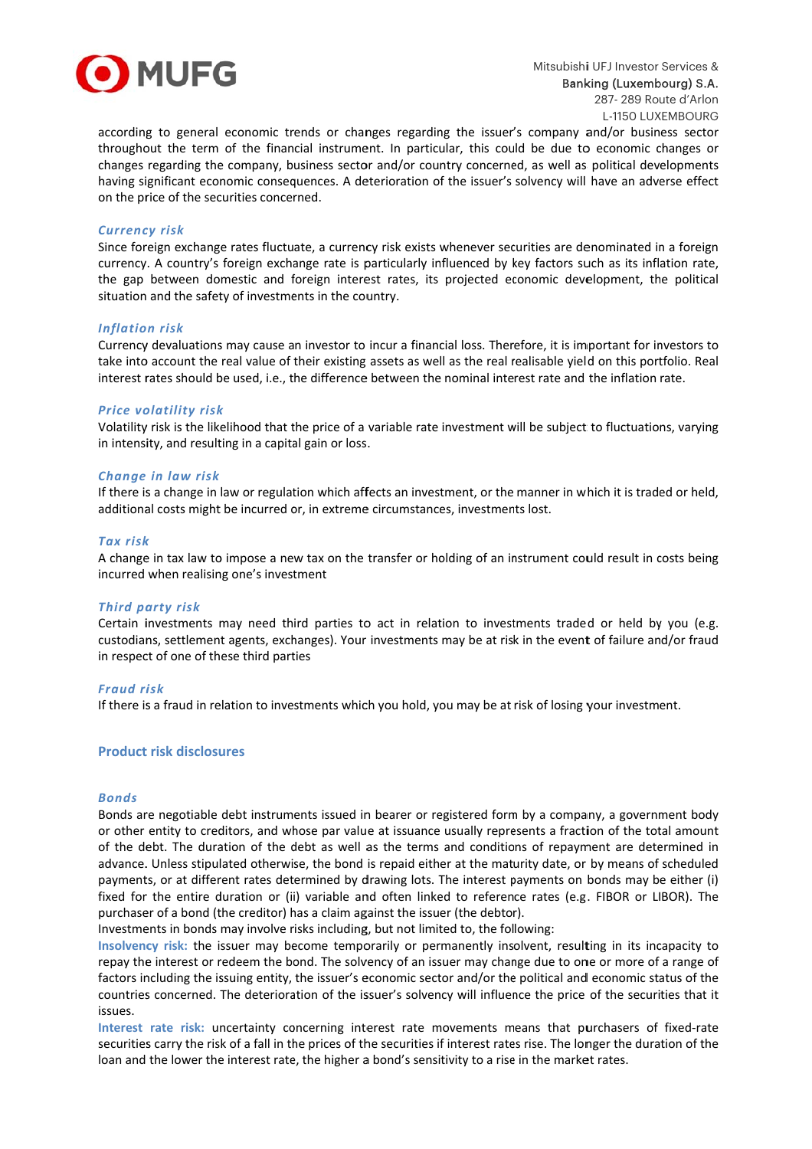

according to general economic trends or changes regarding the issuer's company and/or business sector throughout the term of the financial instrument. In particular, this could be due to economic changes or changes regarding the company, business sector and/or country concerned, as well as political developments having significant economic consequences. A deterioration of the issuer's solvency will have an adverse effect on the price of the securities concerned.

### **Currency risk**

Since foreign exchange rates fluctuate, a currency risk exists whenever securities are denominated in a foreign currency. A country's foreign exchange rate is particularly influenced by key factors such as its inflation rate, the gap between domestic and foreign interest rates, its projected economic development, the political situation and the safety of investments in the country.

#### **Inflation risk**

Currency devaluations may cause an investor to incur a financial loss. Therefore, it is important for investors to take into account the real value of their existing assets as well as the real realisable yield on this portfolio. Real interest rates should be used, i.e., the difference between the nominal interest rate and the inflation rate.

#### **Price volatility risk**

Volatility risk is the likelihood that the price of a variable rate investment will be subject to fluctuations, varying in intensity, and resulting in a capital gain or loss.

## Change in law risk

If there is a change in law or regulation which affects an investment, or the manner in which it is traded or held, additional costs might be incurred or, in extreme circumstances, investments lost.

#### **Tax risk**

A change in tax law to impose a new tax on the transfer or holding of an instrument could result in costs being incurred when realising one's investment

#### **Third party risk**

Certain investments may need third parties to act in relation to investments traded or held by you (e.g. custodians, settlement agents, exchanges). Your investments may be at risk in the event of failure and/or fraud in respect of one of these third parties

### **Fraud risk**

If there is a fraud in relation to investments which you hold, you may be at risk of losing your investment.

# **Product risk disclosures**

#### **Bonds**

Bonds are negotiable debt instruments issued in bearer or registered form by a company, a government body or other entity to creditors, and whose par value at issuance usually represents a fraction of the total amount of the debt. The duration of the debt as well as the terms and conditions of repayment are determined in advance. Unless stipulated otherwise, the bond is repaid either at the maturity date, or by means of scheduled payments, or at different rates determined by drawing lots. The interest payments on bonds may be either (i) fixed for the entire duration or (ii) variable and often linked to reference rates (e.g. FIBOR or LIBOR). The purchaser of a bond (the creditor) has a claim against the issuer (the debtor).

Investments in bonds may involve risks including, but not limited to, the following:

Insolvency risk: the issuer may become temporarily or permanently insolvent, resulting in its incapacity to repay the interest or redeem the bond. The solvency of an issuer may change due to one or more of a range of factors including the issuing entity, the issuer's economic sector and/or the political and economic status of the countries concerned. The deterioration of the issuer's solvency will influence the price of the securities that it issues.

Interest rate risk: uncertainty concerning interest rate movements means that purchasers of fixed-rate securities carry the risk of a fall in the prices of the securities if interest rates rise. The longer the duration of the loan and the lower the interest rate, the higher a bond's sensitivity to a rise in the market rates.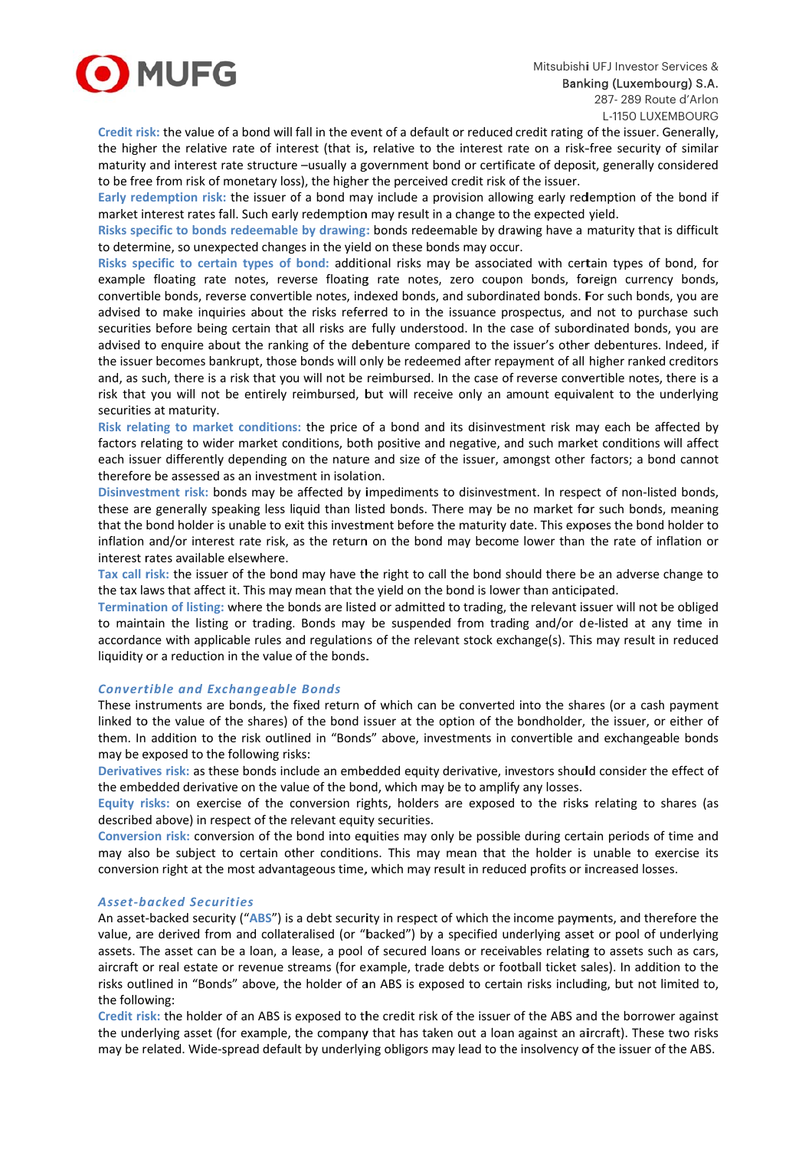

Credit risk: the value of a bond will fall in the event of a default or reduced credit rating of the issuer. Generally, the higher the relative rate of interest (that is, relative to the interest rate on a risk-free security of similar maturity and interest rate structure -usually a government bond or certificate of deposit, generally considered to be free from risk of monetary loss), the higher the perceived credit risk of the issuer.

Early redemption risk: the issuer of a bond may include a provision allowing early redemption of the bond if market interest rates fall. Such early redemption may result in a change to the expected yield.

Risks specific to bonds redeemable by drawing: bonds redeemable by drawing have a maturity that is difficult to determine, so unexpected changes in the yield on these bonds may occur.

Risks specific to certain types of bond: additional risks may be associated with certain types of bond, for example floating rate notes, reverse floating rate notes, zero coupon bonds, foreign currency bonds, convertible bonds, reverse convertible notes, indexed bonds, and subordinated bonds. For such bonds, you are advised to make inquiries about the risks referred to in the issuance prospectus, and not to purchase such securities before being certain that all risks are fully understood. In the case of subordinated bonds, you are advised to enquire about the ranking of the debenture compared to the issuer's other debentures. Indeed, if the issuer becomes bankrupt, those bonds will only be redeemed after repayment of all higher ranked creditors and, as such, there is a risk that you will not be reimbursed. In the case of reverse convertible notes, there is a risk that you will not be entirely reimbursed, but will receive only an amount equivalent to the underlying securities at maturity.

Risk relating to market conditions: the price of a bond and its disinvestment risk may each be affected by factors relating to wider market conditions, both positive and negative, and such market conditions will affect each issuer differently depending on the nature and size of the issuer, amongst other factors; a bond cannot therefore be assessed as an investment in isolation.

Disinvestment risk: bonds may be affected by impediments to disinvestment. In respect of non-listed bonds, these are generally speaking less liquid than listed bonds. There may be no market for such bonds, meaning that the bond holder is unable to exit this investment before the maturity date. This exposes the bond holder to inflation and/or interest rate risk, as the return on the bond may become lower than the rate of inflation or interest rates available elsewhere.

Tax call risk: the issuer of the bond may have the right to call the bond should there be an adverse change to the tax laws that affect it. This may mean that the yield on the bond is lower than anticipated.

Termination of listing: where the bonds are listed or admitted to trading, the relevant issuer will not be obliged to maintain the listing or trading. Bonds may be suspended from trading and/or de-listed at any time in accordance with applicable rules and regulations of the relevant stock exchange(s). This may result in reduced liquidity or a reduction in the value of the bonds.

# **Convertible and Exchangeable Bonds**

These instruments are bonds, the fixed return of which can be converted into the shares (or a cash payment linked to the value of the shares) of the bond issuer at the option of the bondholder, the issuer, or either of them. In addition to the risk outlined in "Bonds" above, investments in convertible and exchangeable bonds may be exposed to the following risks:

Derivatives risk: as these bonds include an embedded equity derivative, investors should consider the effect of the embedded derivative on the value of the bond, which may be to amplify any losses.

Equity risks: on exercise of the conversion rights, holders are exposed to the risks relating to shares (as described above) in respect of the relevant equity securities.

Conversion risk: conversion of the bond into equities may only be possible during certain periods of time and may also be subject to certain other conditions. This may mean that the holder is unable to exercise its conversion right at the most advantageous time, which may result in reduced profits or increased losses.

### **Asset-backed Securities**

An asset-backed security ("ABS") is a debt security in respect of which the income payments, and therefore the value, are derived from and collateralised (or "backed") by a specified underlying asset or pool of underlying assets. The asset can be a loan, a lease, a pool of secured loans or receivables relating to assets such as cars, aircraft or real estate or revenue streams (for example, trade debts or football ticket sales). In addition to the risks outlined in "Bonds" above, the holder of an ABS is exposed to certain risks including, but not limited to, the following:

Credit risk: the holder of an ABS is exposed to the credit risk of the issuer of the ABS and the borrower against the underlying asset (for example, the company that has taken out a loan against an aircraft). These two risks may be related. Wide-spread default by underlying obligors may lead to the insolvency of the issuer of the ABS.

L-1150 LUXEMBOURG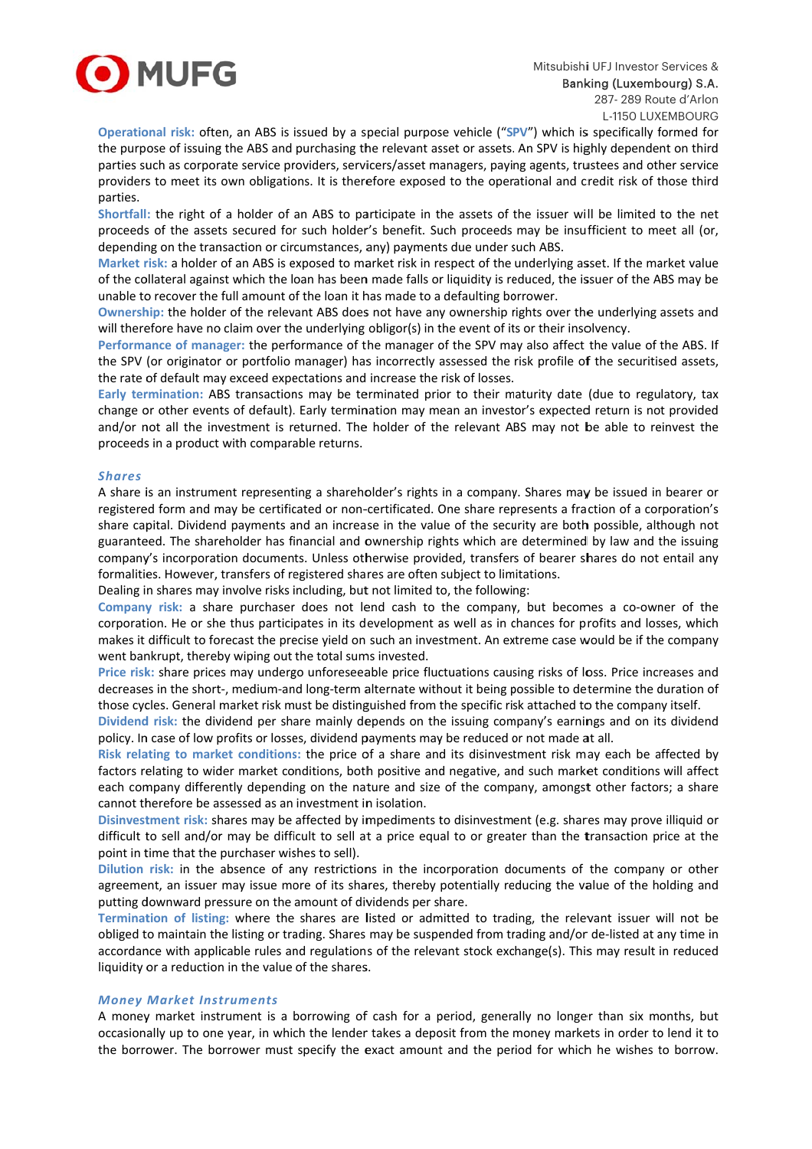

Operational risk: often, an ABS is issued by a special purpose vehicle ("SPV") which is specifically formed for the purpose of issuing the ABS and purchasing the relevant asset or assets. An SPV is highly dependent on third parties such as corporate service providers, servicers/asset managers, paying agents, trustees and other service providers to meet its own obligations. It is therefore exposed to the operational and credit risk of those third parties.

Shortfall: the right of a holder of an ABS to participate in the assets of the issuer will be limited to the net proceeds of the assets secured for such holder's benefit. Such proceeds may be insufficient to meet all (or, depending on the transaction or circumstances, any) payments due under such ABS.

Market risk: a holder of an ABS is exposed to market risk in respect of the underlying asset. If the market value of the collateral against which the loan has been made falls or liquidity is reduced, the issuer of the ABS may be unable to recover the full amount of the loan it has made to a defaulting borrower.

Ownership: the holder of the relevant ABS does not have any ownership rights over the underlying assets and will therefore have no claim over the underlying obligor(s) in the event of its or their insolvency.

Performance of manager: the performance of the manager of the SPV may also affect the value of the ABS. If the SPV (or originator or portfolio manager) has incorrectly assessed the risk profile of the securitised assets, the rate of default may exceed expectations and increase the risk of losses.

Early termination: ABS transactions may be terminated prior to their maturity date (due to regulatory, tax change or other events of default). Early termination may mean an investor's expected return is not provided and/or not all the investment is returned. The holder of the relevant ABS may not be able to reinvest the proceeds in a product with comparable returns.

## **Shares**

A share is an instrument representing a shareholder's rights in a company. Shares may be issued in bearer or registered form and may be certificated or non-certificated. One share represents a fraction of a corporation's share capital. Dividend payments and an increase in the value of the security are both possible, although not guaranteed. The shareholder has financial and ownership rights which are determined by law and the issuing company's incorporation documents. Unless otherwise provided, transfers of bearer shares do not entail any formalities. However, transfers of registered shares are often subject to limitations.

Dealing in shares may involve risks including, but not limited to, the following:

Company risk: a share purchaser does not lend cash to the company, but becomes a co-owner of the corporation. He or she thus participates in its development as well as in chances for profits and losses, which makes it difficult to forecast the precise yield on such an investment. An extreme case would be if the company went bankrupt, thereby wiping out the total sums invested.

Price risk: share prices may undergo unforeseeable price fluctuations causing risks of loss. Price increases and decreases in the short-, medium-and long-term alternate without it being possible to determine the duration of those cycles. General market risk must be distinguished from the specific risk attached to the company itself.

Dividend risk: the dividend per share mainly depends on the issuing company's earnings and on its dividend policy. In case of low profits or losses, dividend payments may be reduced or not made at all.

Risk relating to market conditions: the price of a share and its disinvestment risk may each be affected by factors relating to wider market conditions, both positive and negative, and such market conditions will affect each company differently depending on the nature and size of the company, amongst other factors; a share cannot therefore be assessed as an investment in isolation.

Disinvestment risk: shares may be affected by impediments to disinvestment (e.g. shares may prove illiquid or difficult to sell and/or may be difficult to sell at a price equal to or greater than the transaction price at the point in time that the purchaser wishes to sell).

Dilution risk: in the absence of any restrictions in the incorporation documents of the company or other agreement, an issuer may issue more of its shares, thereby potentially reducing the value of the holding and putting downward pressure on the amount of dividends per share.

Termination of listing: where the shares are listed or admitted to trading, the relevant issuer will not be obliged to maintain the listing or trading. Shares may be suspended from trading and/or de-listed at any time in accordance with applicable rules and regulations of the relevant stock exchange(s). This may result in reduced liquidity or a reduction in the value of the shares.

#### **Money Market Instruments**

A money market instrument is a borrowing of cash for a period, generally no longer than six months, but occasionally up to one year, in which the lender takes a deposit from the money markets in order to lend it to the borrower. The borrower must specify the exact amount and the period for which he wishes to borrow.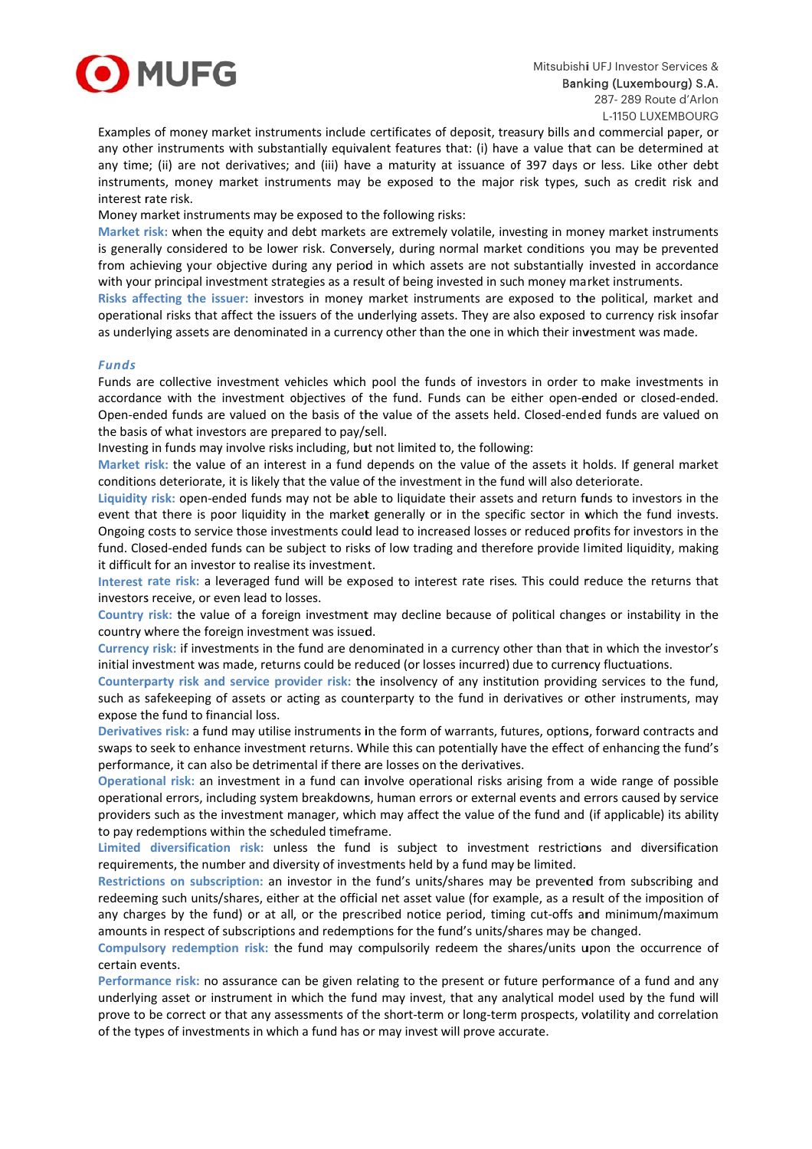

Examples of money market instruments include certificates of deposit, treasury bills and commercial paper, or any other instruments with substantially equivalent features that: (i) have a value that can be determined at any time; (ii) are not derivatives; and (iii) have a maturity at issuance of 397 days or less. Like other debt instruments, money market instruments may be exposed to the major risk types, such as credit risk and interest rate risk.

Money market instruments may be exposed to the following risks:

Market risk: when the equity and debt markets are extremely volatile, investing in money market instruments is generally considered to be lower risk. Conversely, during normal market conditions you may be prevented from achieving your objective during any period in which assets are not substantially invested in accordance with your principal investment strategies as a result of being invested in such money market instruments.

Risks affecting the issuer: investors in money market instruments are exposed to the political, market and operational risks that affect the issuers of the underlying assets. They are also exposed to currency risk insofar as underlying assets are denominated in a currency other than the one in which their investment was made.

## **Funds**

Funds are collective investment vehicles which pool the funds of investors in order to make investments in accordance with the investment objectives of the fund. Funds can be either open-ended or closed-ended. Open-ended funds are valued on the basis of the value of the assets held. Closed-ended funds are valued on the basis of what investors are prepared to pay/sell.

Investing in funds may involve risks including, but not limited to, the following:

Market risk: the value of an interest in a fund depends on the value of the assets it holds. If general market conditions deteriorate, it is likely that the value of the investment in the fund will also deteriorate.

Liquidity risk: open-ended funds may not be able to liquidate their assets and return funds to investors in the event that there is poor liquidity in the market generally or in the specific sector in which the fund invests. Ongoing costs to service those investments could lead to increased losses or reduced profits for investors in the fund. Closed-ended funds can be subject to risks of low trading and therefore provide limited liquidity, making it difficult for an investor to realise its investment.

Interest rate risk: a leveraged fund will be exposed to interest rate rises. This could reduce the returns that investors receive, or even lead to losses.

Country risk: the value of a foreign investment may decline because of political changes or instability in the country where the foreign investment was issued.

Currency risk: if investments in the fund are denominated in a currency other than that in which the investor's initial investment was made, returns could be reduced (or losses incurred) due to currency fluctuations.

Counterparty risk and service provider risk: the insolvency of any institution providing services to the fund. such as safekeeping of assets or acting as counterparty to the fund in derivatives or other instruments, may expose the fund to financial loss.

Derivatives risk: a fund may utilise instruments in the form of warrants, futures, options, forward contracts and swaps to seek to enhance investment returns. While this can potentially have the effect of enhancing the fund's performance, it can also be detrimental if there are losses on the derivatives.

Operational risk: an investment in a fund can involve operational risks arising from a wide range of possible operational errors, including system breakdowns, human errors or external events and errors caused by service providers such as the investment manager, which may affect the value of the fund and (if applicable) its ability to pay redemptions within the scheduled timeframe.

Limited diversification risk: unless the fund is subject to investment restrictions and diversification requirements, the number and diversity of investments held by a fund may be limited.

Restrictions on subscription: an investor in the fund's units/shares may be prevented from subscribing and redeeming such units/shares, either at the official net asset value (for example, as a result of the imposition of any charges by the fund) or at all, or the prescribed notice period, timing cut-offs and minimum/maximum amounts in respect of subscriptions and redemptions for the fund's units/shares may be changed.

Compulsory redemption risk: the fund may compulsorily redeem the shares/units upon the occurrence of certain events.

Performance risk: no assurance can be given relating to the present or future performance of a fund and any underlying asset or instrument in which the fund may invest, that any analytical model used by the fund will prove to be correct or that any assessments of the short-term or long-term prospects, volatility and correlation of the types of investments in which a fund has or may invest will prove accurate.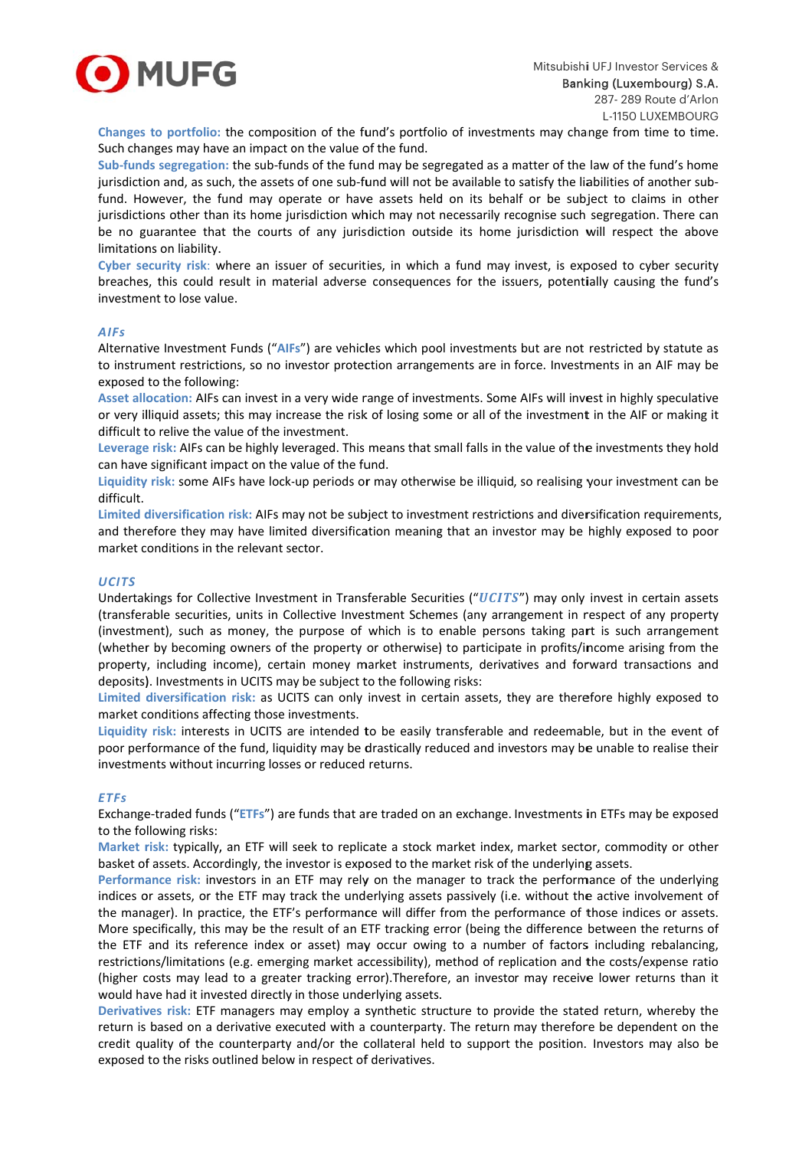

Changes to portfolio: the composition of the fund's portfolio of investments may change from time to time. Such changes may have an impact on the value of the fund.

Sub-funds segregation: the sub-funds of the fund may be segregated as a matter of the law of the fund's home jurisdiction and, as such, the assets of one sub-fund will not be available to satisfy the liabilities of another subfund. However, the fund may operate or have assets held on its behalf or be subject to claims in other jurisdictions other than its home jurisdiction which may not necessarily recognise such segregation. There can be no guarantee that the courts of any jurisdiction outside its home jurisdiction will respect the above limitations on liability.

Cyber security risk: where an issuer of securities, in which a fund may invest, is exposed to cyber security breaches, this could result in material adverse consequences for the issuers, potentially causing the fund's investment to lose value.

#### **AIFs**

Alternative Investment Funds ("AIFs") are vehicles which pool investments but are not restricted by statute as to instrument restrictions, so no investor protection arrangements are in force. Investments in an AIF may be exposed to the following:

Asset allocation: AIFs can invest in a very wide range of investments. Some AIFs will invest in highly speculative or very illiquid assets; this may increase the risk of losing some or all of the investment in the AIF or making it difficult to relive the value of the investment.

Leverage risk: AIFs can be highly leveraged. This means that small falls in the value of the investments they hold can have significant impact on the value of the fund.

Liquidity risk: some AIFs have lock-up periods or may otherwise be illiquid, so realising your investment can be difficult.

Limited diversification risk: AIFs may not be subject to investment restrictions and diversification requirements, and therefore they may have limited diversification meaning that an investor may be highly exposed to poor market conditions in the relevant sector.

### **UCITS**

Undertakings for Collective Investment in Transferable Securities ("UCITS") may only invest in certain assets (transferable securities, units in Collective Investment Schemes (any arrangement in respect of any property (investment), such as money, the purpose of which is to enable persons taking part is such arrangement (whether by becoming owners of the property or otherwise) to participate in profits/income arising from the property, including income), certain money market instruments, derivatives and forward transactions and deposits). Investments in UCITS may be subject to the following risks:

Limited diversification risk: as UCITS can only invest in certain assets, they are therefore highly exposed to market conditions affecting those investments.

Liquidity risk: interests in UCITS are intended to be easily transferable and redeemable, but in the event of poor performance of the fund, liquidity may be drastically reduced and investors may be unable to realise their investments without incurring losses or reduced returns.

#### **FTFs**

Exchange-traded funds ("ETFs") are funds that are traded on an exchange. Investments in ETFs may be exposed to the following risks:

Market risk: typically, an ETF will seek to replicate a stock market index, market sector, commodity or other basket of assets. Accordingly, the investor is exposed to the market risk of the underlying assets.

Performance risk: investors in an ETF may rely on the manager to track the performance of the underlying indices or assets, or the ETF may track the underlying assets passively (i.e. without the active involvement of the manager). In practice, the ETF's performance will differ from the performance of those indices or assets. More specifically, this may be the result of an ETF tracking error (being the difference between the returns of the ETF and its reference index or asset) may occur owing to a number of factors including rebalancing, restrictions/limitations (e.g. emerging market accessibility), method of replication and the costs/expense ratio (higher costs may lead to a greater tracking error). Therefore, an investor may receive lower returns than it would have had it invested directly in those underlying assets.

Derivatives risk: ETF managers may employ a synthetic structure to provide the stated return, whereby the return is based on a derivative executed with a counterparty. The return may therefore be dependent on the credit quality of the counterparty and/or the collateral held to support the position. Investors may also be exposed to the risks outlined below in respect of derivatives.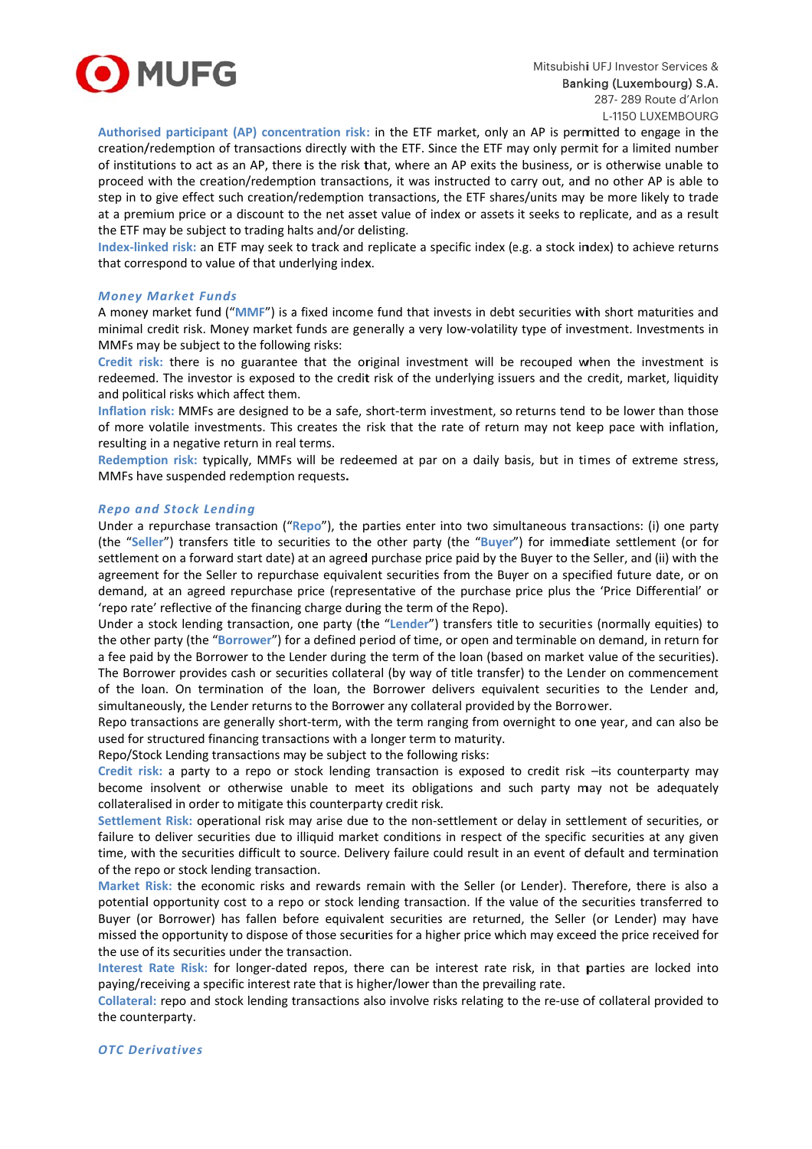

Authorised participant (AP) concentration risk: in the ETF market, only an AP is permitted to engage in the creation/redemption of transactions directly with the ETF. Since the ETF may only permit for a limited number of institutions to act as an AP, there is the risk that, where an AP exits the business, or is otherwise unable to proceed with the creation/redemption transactions, it was instructed to carry out, and no other AP is able to step in to give effect such creation/redemption transactions, the ETF shares/units may be more likely to trade at a premium price or a discount to the net asset value of index or assets it seeks to replicate, and as a result the ETF may be subject to trading halts and/or delisting.

Index-linked risk: an ETF may seek to track and replicate a specific index (e.g. a stock index) to achieve returns that correspond to value of that underlying index.

#### **Money Market Funds**

A money market fund ("MMF") is a fixed income fund that invests in debt securities with short maturities and minimal credit risk. Money market funds are generally a very low-volatility type of investment. Investments in MMFs may be subject to the following risks:

Credit risk: there is no guarantee that the original investment will be recouped when the investment is redeemed. The investor is exposed to the credit risk of the underlying issuers and the credit, market, liquidity and political risks which affect them.

Inflation risk: MMFs are designed to be a safe, short-term investment, so returns tend to be lower than those of more volatile investments. This creates the risk that the rate of return may not keep pace with inflation, resulting in a negative return in real terms.

Redemption risk: typically, MMFs will be redeemed at par on a daily basis, but in times of extreme stress, MMFs have suspended redemption requests.

#### **Repo and Stock Lending**

Under a repurchase transaction ("Repo"), the parties enter into two simultaneous transactions: (i) one party (the "Seller") transfers title to securities to the other party (the "Buyer") for immediate settlement (or for settlement on a forward start date) at an agreed purchase price paid by the Buyer to the Seller, and (ii) with the agreement for the Seller to repurchase equivalent securities from the Buyer on a specified future date, or on demand, at an agreed repurchase price (representative of the purchase price plus the 'Price Differential' or 'repo rate' reflective of the financing charge during the term of the Repo).

Under a stock lending transaction, one party (the "Lender") transfers title to securities (normally equities) to the other party (the "Borrower") for a defined period of time, or open and terminable on demand, in return for a fee paid by the Borrower to the Lender during the term of the loan (based on market value of the securities). The Borrower provides cash or securities collateral (by way of title transfer) to the Lender on commencement of the loan. On termination of the loan, the Borrower delivers equivalent securities to the Lender and, simultaneously, the Lender returns to the Borrower any collateral provided by the Borrower.

Repo transactions are generally short-term, with the term ranging from overnight to one year, and can also be used for structured financing transactions with a longer term to maturity.

Repo/Stock Lending transactions may be subject to the following risks:

Credit risk: a party to a repo or stock lending transaction is exposed to credit risk -its counterparty may become insolvent or otherwise unable to meet its obligations and such party may not be adequately collateralised in order to mitigate this counterparty credit risk.

Settlement Risk: operational risk may arise due to the non-settlement or delay in settlement of securities, or failure to deliver securities due to illiquid market conditions in respect of the specific securities at any given time, with the securities difficult to source. Delivery failure could result in an event of default and termination of the repo or stock lending transaction.

Market Risk: the economic risks and rewards remain with the Seller (or Lender). Therefore, there is also a potential opportunity cost to a repo or stock lending transaction. If the value of the securities transferred to Buyer (or Borrower) has fallen before equivalent securities are returned, the Seller (or Lender) may have missed the opportunity to dispose of those securities for a higher price which may exceed the price received for the use of its securities under the transaction.

Interest Rate Risk: for longer-dated repos, there can be interest rate risk, in that parties are locked into paying/receiving a specific interest rate that is higher/lower than the prevailing rate.

Collateral: repo and stock lending transactions also involve risks relating to the re-use of collateral provided to the counterparty.

#### **OTC** Derivatives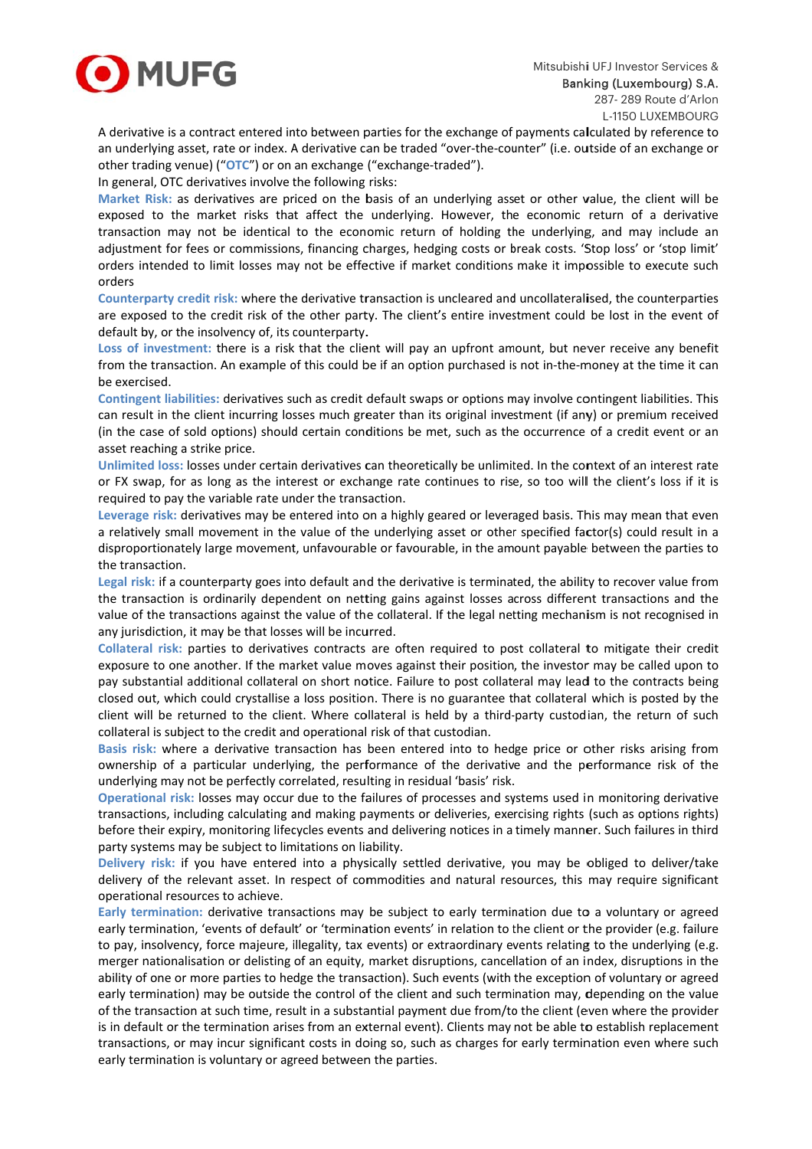

A derivative is a contract entered into between parties for the exchange of payments calculated by reference to an underlying asset, rate or index. A derivative can be traded "over-the-counter" (i.e. outside of an exchange or other trading venue) ("OTC") or on an exchange ("exchange-traded").

In general, OTC derivatives involve the following risks:

Market Risk: as derivatives are priced on the basis of an underlying asset or other value, the client will be exposed to the market risks that affect the underlying. However, the economic return of a derivative transaction may not be identical to the economic return of holding the underlying, and may include an adjustment for fees or commissions, financing charges, hedging costs or break costs. 'Stop loss' or 'stop limit' orders intended to limit losses may not be effective if market conditions make it impossible to execute such orders

Counterparty credit risk: where the derivative transaction is uncleared and uncollateralised, the counterparties are exposed to the credit risk of the other party. The client's entire investment could be lost in the event of default by, or the insolvency of, its counterparty.

Loss of investment: there is a risk that the client will pay an upfront amount, but never receive any benefit from the transaction. An example of this could be if an option purchased is not in-the-money at the time it can be exercised.

Contingent liabilities: derivatives such as credit default swaps or options may involve contingent liabilities. This can result in the client incurring losses much greater than its original investment (if any) or premium received (in the case of sold options) should certain conditions be met, such as the occurrence of a credit event or an asset reaching a strike price.

Unlimited loss: losses under certain derivatives can theoretically be unlimited. In the context of an interest rate or FX swap, for as long as the interest or exchange rate continues to rise, so too will the client's loss if it is required to pay the variable rate under the transaction.

Leverage risk: derivatives may be entered into on a highly geared or leveraged basis. This may mean that even a relatively small movement in the value of the underlying asset or other specified factor(s) could result in a disproportionately large movement, unfavourable or favourable, in the amount payable between the parties to the transaction.

Legal risk: if a counterparty goes into default and the derivative is terminated, the ability to recover value from the transaction is ordinarily dependent on netting gains against losses across different transactions and the value of the transactions against the value of the collateral. If the legal netting mechanism is not recognised in any jurisdiction, it may be that losses will be incurred.

Collateral risk: parties to derivatives contracts are often required to post collateral to mitigate their credit exposure to one another. If the market value moves against their position, the investor may be called upon to pay substantial additional collateral on short notice. Failure to post collateral may lead to the contracts being closed out, which could crystallise a loss position. There is no guarantee that collateral which is posted by the client will be returned to the client. Where collateral is held by a third-party custodian, the return of such collateral is subject to the credit and operational risk of that custodian.

Basis risk: where a derivative transaction has been entered into to hedge price or other risks arising from ownership of a particular underlying, the performance of the derivative and the performance risk of the underlying may not be perfectly correlated, resulting in residual 'basis' risk.

Operational risk: losses may occur due to the failures of processes and systems used in monitoring derivative transactions, including calculating and making payments or deliveries, exercising rights (such as options rights) before their expiry, monitoring lifecycles events and delivering notices in a timely manner. Such failures in third party systems may be subject to limitations on liability.

Delivery risk: if you have entered into a physically settled derivative, you may be obliged to deliver/take delivery of the relevant asset. In respect of commodities and natural resources, this may require significant operational resources to achieve.

Early termination: derivative transactions may be subject to early termination due to a voluntary or agreed early termination, 'events of default' or 'termination events' in relation to the client or the provider (e.g. failure to pay, insolvency, force majeure, illegality, tax events) or extraordinary events relating to the underlying (e.g. merger nationalisation or delisting of an equity, market disruptions, cancellation of an index, disruptions in the ability of one or more parties to hedge the transaction). Such events (with the exception of voluntary or agreed early termination) may be outside the control of the client and such termination may, depending on the value of the transaction at such time, result in a substantial payment due from/to the client (even where the provider is in default or the termination arises from an external event). Clients may not be able to establish replacement transactions, or may incur significant costs in doing so, such as charges for early termination even where such early termination is voluntary or agreed between the parties.